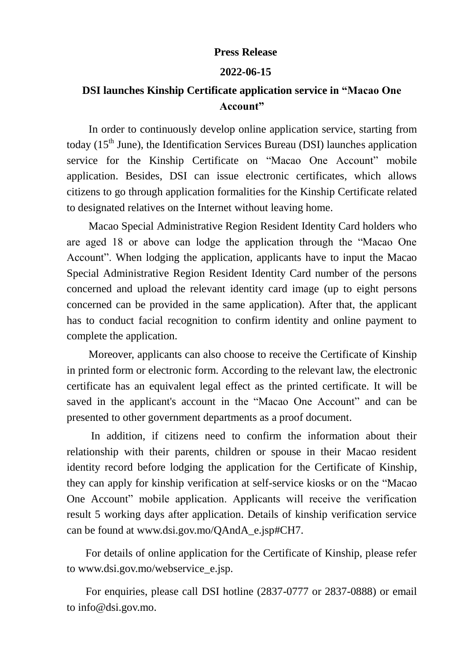## **Press Release**

## **2022-06-15**

## **DSI launches Kinship Certificate application service in "Macao One Account"**

In order to continuously develop online application service, starting from today  $(15<sup>th</sup>$  June), the Identification Services Bureau (DSI) launches application service for the Kinship Certificate on "Macao One Account" mobile application. Besides, DSI can issue electronic certificates, which allows citizens to go through application formalities for the Kinship Certificate related to designated relatives on the Internet without leaving home.

Macao Special Administrative Region Resident Identity Card holders who are aged 18 or above can lodge the application through the "Macao One Account". When lodging the application, applicants have to input the Macao Special Administrative Region Resident Identity Card number of the persons concerned and upload the relevant identity card image (up to eight persons concerned can be provided in the same application). After that, the applicant has to conduct facial recognition to confirm identity and online payment to complete the application.

Moreover, applicants can also choose to receive the Certificate of Kinship in printed form or electronic form. According to the relevant law, the electronic certificate has an equivalent legal effect as the printed certificate. It will be saved in the applicant's account in the "Macao One Account" and can be presented to other government departments as a proof document.

In addition, if citizens need to confirm the information about their relationship with their parents, children or spouse in their Macao resident identity record before lodging the application for the Certificate of Kinship, they can apply for kinship verification at self-service kiosks or on the "Macao One Account" mobile application. Applicants will receive the verification result 5 working days after application. Details of kinship verification service can be found at www.dsi.gov.mo/QAndA\_e.jsp#CH7.

For details of online application for the Certificate of Kinship, please refer to www.dsi.gov.mo/webservice\_e.jsp.

For enquiries, please call DSI hotline (2837-0777 or 2837-0888) or email to info@dsi.gov.mo.